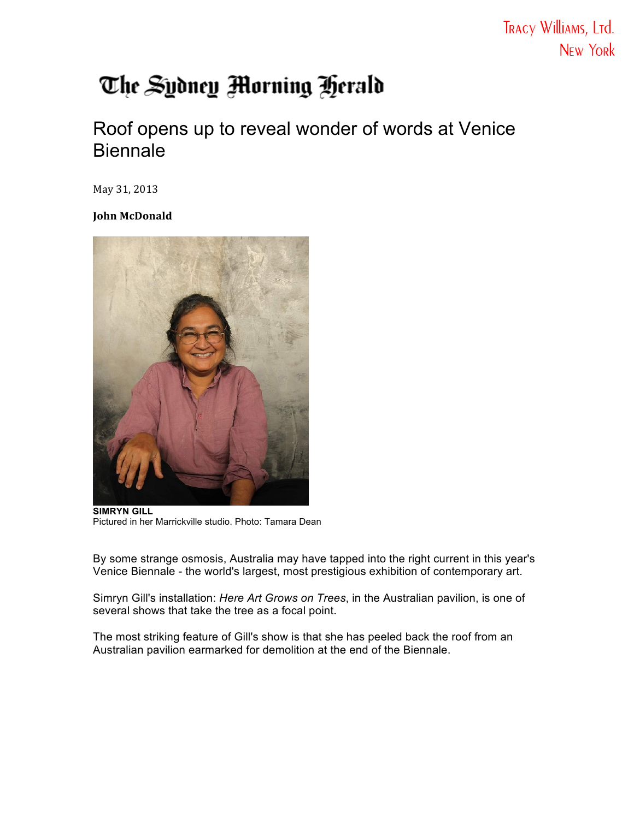## The Sydney Morning Herald

## Roof opens up to reveal wonder of words at Venice **Biennale**

May 31, 2013

**John McDonald**



**SIMRYN GILL** Pictured in her Marrickville studio. Photo: Tamara Dean

By some strange osmosis, Australia may have tapped into the right current in this year's Venice Biennale - the world's largest, most prestigious exhibition of contemporary art.

Simryn Gill's installation: *Here Art Grows on Trees*, in the Australian pavilion, is one of several shows that take the tree as a focal point.

The most striking feature of Gill's show is that she has peeled back the roof from an Australian pavilion earmarked for demolition at the end of the Biennale.